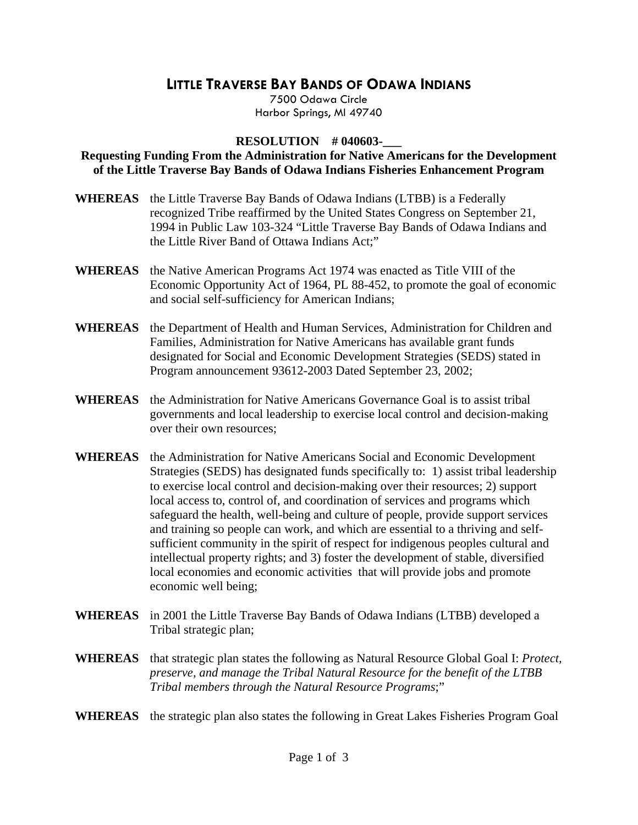## **LITTLE TRAVERSE BAY BANDS OF ODAWA INDIANS**

7500 Odawa Circle Harbor Springs, MI 49740

## **RESOLUTION # 040603-**

## **Requesting Funding From the Administration for Native Americans for the Development of the Little Traverse Bay Bands of Odawa Indians Fisheries Enhancement Program**

- **WHEREAS** the Little Traverse Bay Bands of Odawa Indians (LTBB) is a Federally recognized Tribe reaffirmed by the United States Congress on September 21, 1994 in Public Law 103-324 "Little Traverse Bay Bands of Odawa Indians and the Little River Band of Ottawa Indians Act;"
- **WHEREAS** the Native American Programs Act 1974 was enacted as Title VIII of the Economic Opportunity Act of 1964, PL 88-452, to promote the goal of economic and social self-sufficiency for American Indians;
- **WHEREAS** the Department of Health and Human Services, Administration for Children and Families, Administration for Native Americans has available grant funds designated for Social and Economic Development Strategies (SEDS) stated in Program announcement 93612-2003 Dated September 23, 2002;
- **WHEREAS** the Administration for Native Americans Governance Goal is to assist tribal governments and local leadership to exercise local control and decision-making over their own resources;
- **WHEREAS** the Administration for Native Americans Social and Economic Development Strategies (SEDS) has designated funds specifically to: 1) assist tribal leadership to exercise local control and decision-making over their resources; 2) support local access to, control of, and coordination of services and programs which safeguard the health, well-being and culture of people, provide support services and training so people can work, and which are essential to a thriving and selfsufficient community in the spirit of respect for indigenous peoples cultural and intellectual property rights; and 3) foster the development of stable, diversified local economies and economic activities that will provide jobs and promote economic well being;
- **WHEREAS** in 2001 the Little Traverse Bay Bands of Odawa Indians (LTBB) developed a Tribal strategic plan;
- **WHEREAS** that strategic plan states the following as Natural Resource Global Goal I: *Protect, preserve, and manage the Tribal Natural Resource for the benefit of the LTBB Tribal members through the Natural Resource Programs*;"
- **WHEREAS** the strategic plan also states the following in Great Lakes Fisheries Program Goal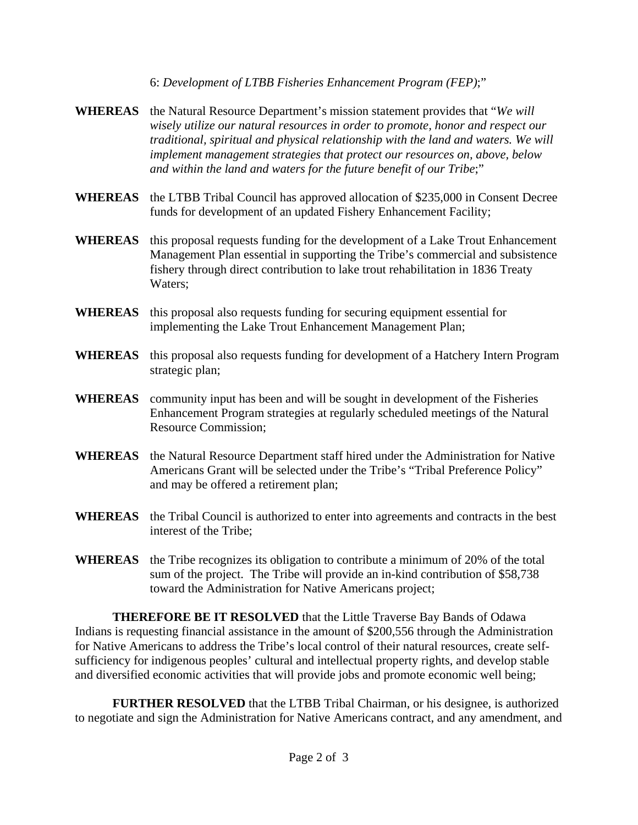6: *Development of LTBB Fisheries Enhancement Program (FEP)*;"

- **WHEREAS** the Natural Resource Department's mission statement provides that "*We will wisely utilize our natural resources in order to promote, honor and respect our traditional, spiritual and physical relationship with the land and waters. We will implement management strategies that protect our resources on, above, below and within the land and waters for the future benefit of our Tribe*;"
- **WHEREAS** the LTBB Tribal Council has approved allocation of \$235,000 in Consent Decree funds for development of an updated Fishery Enhancement Facility;
- **WHEREAS** this proposal requests funding for the development of a Lake Trout Enhancement Management Plan essential in supporting the Tribe's commercial and subsistence fishery through direct contribution to lake trout rehabilitation in 1836 Treaty Waters;
- **WHEREAS** this proposal also requests funding for securing equipment essential for implementing the Lake Trout Enhancement Management Plan;
- **WHEREAS** this proposal also requests funding for development of a Hatchery Intern Program strategic plan;
- **WHEREAS** community input has been and will be sought in development of the Fisheries Enhancement Program strategies at regularly scheduled meetings of the Natural Resource Commission;
- **WHEREAS** the Natural Resource Department staff hired under the Administration for Native Americans Grant will be selected under the Tribe's "Tribal Preference Policy" and may be offered a retirement plan;
- **WHEREAS** the Tribal Council is authorized to enter into agreements and contracts in the best interest of the Tribe;
- **WHEREAS** the Tribe recognizes its obligation to contribute a minimum of 20% of the total sum of the project. The Tribe will provide an in-kind contribution of \$58,738 toward the Administration for Native Americans project;

**THEREFORE BE IT RESOLVED** that the Little Traverse Bay Bands of Odawa Indians is requesting financial assistance in the amount of \$200,556 through the Administration for Native Americans to address the Tribe's local control of their natural resources, create selfsufficiency for indigenous peoples' cultural and intellectual property rights, and develop stable and diversified economic activities that will provide jobs and promote economic well being;

**FURTHER RESOLVED** that the LTBB Tribal Chairman, or his designee, is authorized to negotiate and sign the Administration for Native Americans contract, and any amendment, and